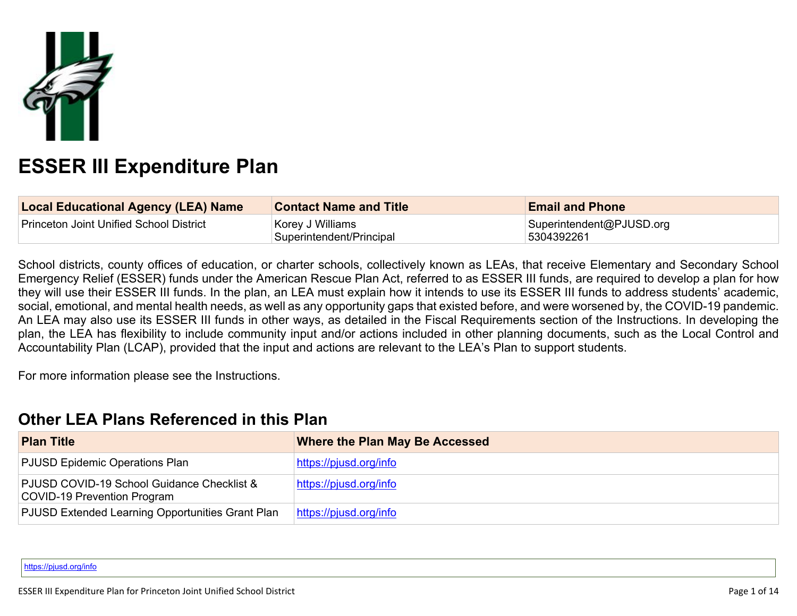

# **ESSER III Expenditure Plan**

| Local Educational Agency (LEA) Name     | <b>Contact Name and Title</b>                | <b>Email and Phone</b>                 |
|-----------------------------------------|----------------------------------------------|----------------------------------------|
| Princeton Joint Unified School District | Korey J Williams<br>Superintendent/Principal | Superintendent@PJUSD.org<br>5304392261 |

School districts, county offices of education, or charter schools, collectively known as LEAs, that receive Elementary and Secondary School Emergency Relief (ESSER) funds under the American Rescue Plan Act, referred to as ESSER III funds, are required to develop a plan for how they will use their ESSER III funds. In the plan, an LEA must explain how it intends to use its ESSER III funds to address students' academic, social, emotional, and mental health needs, as well as any opportunity gaps that existed before, and were worsened by, the COVID-19 pandemic. An LEA may also use its ESSER III funds in other ways, as detailed in the Fiscal Requirements section of the Instructions. In developing the plan, the LEA has flexibility to include community input and/or actions included in other planning documents, such as the Local Control and Accountability Plan (LCAP), provided that the input and actions are relevant to the LEA's Plan to support students.

For more information please see the Instructions.

# **Other LEA Plans [Referenced](#page-8-0) in this Plan**

| <b>Plan Title</b>                                                         | <b>Where the Plan May Be Accessed</b> |
|---------------------------------------------------------------------------|---------------------------------------|
| PJUSD Epidemic Operations Plan                                            | https://pjusd.org/info                |
| PJUSD COVID-19 School Guidance Checklist &<br>COVID-19 Prevention Program | https://pjusd.org/info                |
| PJUSD Extended Learning Opportunities Grant Plan                          | https://pjusd.org/info                |

<https://pjusd.org/info>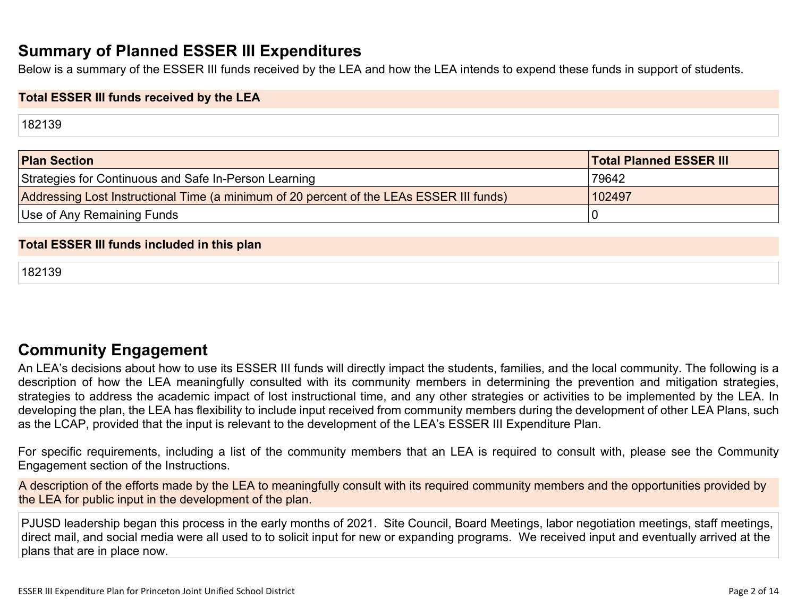# **Summary of Planned ESSER III [Expenditures](#page-8-1)**

Below is a summary of the ESSER III funds received by the LEA and how the LEA intends to expend these funds in support of students.

#### **Total ESSER III funds received by the LEA**

182139

| <b>Plan Section</b>                                                                      | <b>Total Planned ESSER III</b> |
|------------------------------------------------------------------------------------------|--------------------------------|
| Strategies for Continuous and Safe In-Person Learning                                    | 79642                          |
| Addressing Lost Instructional Time (a minimum of 20 percent of the LEAs ESSER III funds) | 102497                         |
| Use of Any Remaining Funds                                                               |                                |

#### **Total ESSER III funds included in this plan**

182139

## **Community [Engagement](#page-9-0)**

An LEA's decisions about how to use its ESSER III funds will directly impact the students, families, and the local community. The following is a description of how the LEA meaningfully consulted with its community members in determining the prevention and mitigation strategies, strategies to address the academic impact of lost instructional time, and any other strategies or activities to be implemented by the LEA. In developing the plan, the LEA has flexibility to include input received from community members during the development of other LEA Plans, such as the LCAP, provided that the input is relevant to the development of the LEA's ESSER III Expenditure Plan.

For specific requirements, including a list of the community members that an LEA is required to consult with, please see the Community Engagement section of the Instructions.

A description of the efforts made by the LEA to meaningfully consult with its required community members and the opportunities provided by the LEA for public input in the development of the plan.

PJUSD leadership began this process in the early months of 2021. Site Council, Board Meetings, labor negotiation meetings, staff meetings, direct mail, and social media were all used to to solicit input for new or expanding programs. We received input and eventually arrived at the plans that are in place now.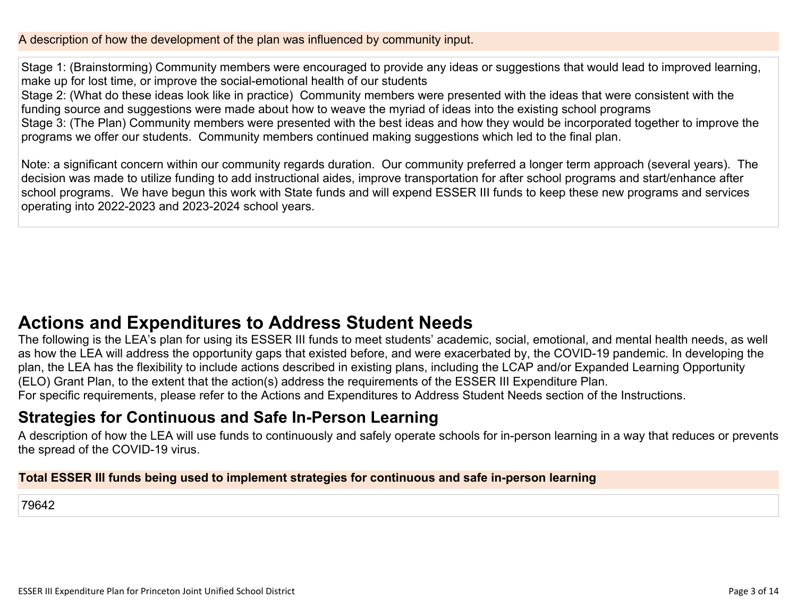A description of how the development of the plan was influenced by community input.

Stage 1: (Brainstorming) Community members were encouraged to provide any ideas or suggestions that would lead to improved learning, make up for lost time, or improve the social-emotional health of our students

Stage 2: (What do these ideas look like in practice) Community members were presented with the ideas that were consistent with the funding source and suggestions were made about how to weave the myriad of ideas into the existing school programs

Stage 3: (The Plan) Community members were presented with the best ideas and how they would be incorporated together to improve the programs we offer our students. Community members continued making suggestions which led to the final plan.

Note: a significant concern within our community regards duration. Our community preferred a longer term approach (several years). The decision was made to utilize funding to add instructional aides, improve transportation for after school programs and start/enhance after school programs. We have begun this work with State funds and will expend ESSER III funds to keep these new programs and services operating into 2022-2023 and 2023-2024 school years.

# **Actions and [Expenditures](#page-11-0) to Address Student Needs**

The following is the LEA's plan for using its ESSER III funds to meet students' academic, social, emotional, and mental health needs, as well as how the LEA will address the opportunity gaps that existed before, and were exacerbated by, the COVID-19 pandemic. In developing the plan, the LEA has the flexibility to include actions described in existing plans, including the LCAP and/or Expanded Learning Opportunity (ELO) Grant Plan, to the extent that the action(s) address the requirements of the ESSER III Expenditure Plan.

For specific requirements, please refer to the Actions and Expenditures to Address Student Needs section of the Instructions.

# **Strategies for [Continuous](#page-11-1) and Safe In-Person Learning**

A description of how the LEA will use funds to continuously and safely operate schools for in-person learning in a way that reduces or prevents the spread of the COVID-19 virus.

### **Total ESSER III funds being used to implement strategies for continuous and safe in-person learning**

79642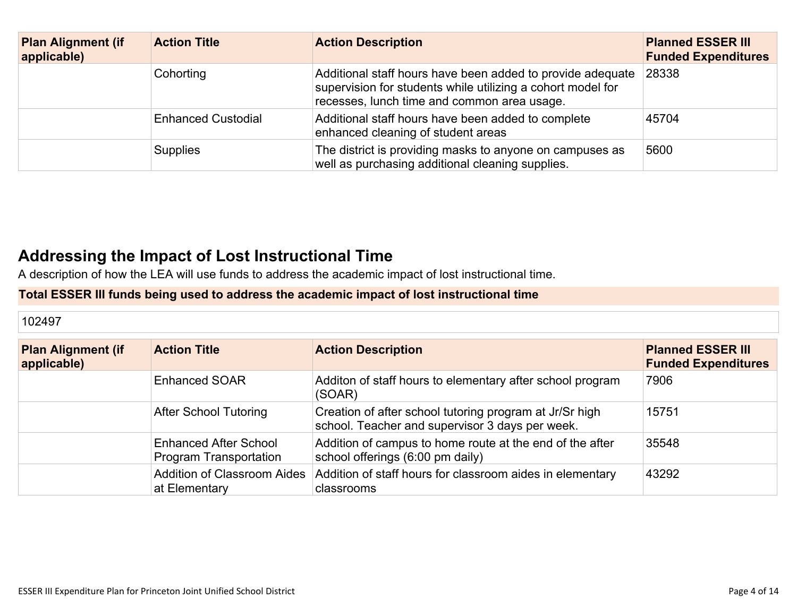| <b>Plan Alignment (if</b><br>applicable) | <b>Action Title</b>       | <b>Action Description</b>                                                                                                                                                | <b>Planned ESSER III</b><br><b>Funded Expenditures</b> |
|------------------------------------------|---------------------------|--------------------------------------------------------------------------------------------------------------------------------------------------------------------------|--------------------------------------------------------|
|                                          | Cohorting                 | Additional staff hours have been added to provide adequate<br>supervision for students while utilizing a cohort model for<br>recesses, lunch time and common area usage. | 28338                                                  |
|                                          | <b>Enhanced Custodial</b> | Additional staff hours have been added to complete<br>enhanced cleaning of student areas                                                                                 | 45704                                                  |
|                                          | <b>Supplies</b>           | The district is providing masks to anyone on campuses as<br>well as purchasing additional cleaning supplies.                                                             | 5600                                                   |

# **Addressing the Impact of Lost [Instructional](#page-12-0) Tim[e](#page-12-0)**

A description of how the LEA will use funds to address the academic impact of lost instructional time.

### **Total ESSER III funds being used to address the academic impact of lost instructional time**

| 102497                                   |                                                        |                                                                                                            |                                                        |
|------------------------------------------|--------------------------------------------------------|------------------------------------------------------------------------------------------------------------|--------------------------------------------------------|
| <b>Plan Alignment (if</b><br>applicable) | <b>Action Title</b>                                    | <b>Action Description</b>                                                                                  | <b>Planned ESSER III</b><br><b>Funded Expenditures</b> |
|                                          | <b>Enhanced SOAR</b>                                   | Additon of staff hours to elementary after school program<br>(SOAR)                                        | 7906                                                   |
|                                          | <b>After School Tutoring</b>                           | Creation of after school tutoring program at Jr/Sr high<br>school. Teacher and supervisor 3 days per week. | 15751                                                  |
|                                          | <b>Enhanced After School</b><br>Program Transportation | Addition of campus to home route at the end of the after<br>school offerings (6:00 pm daily)               | 35548                                                  |
|                                          | <b>Addition of Classroom Aides</b><br>at Elementary    | Addition of staff hours for classroom aides in elementary<br>classrooms                                    | 43292                                                  |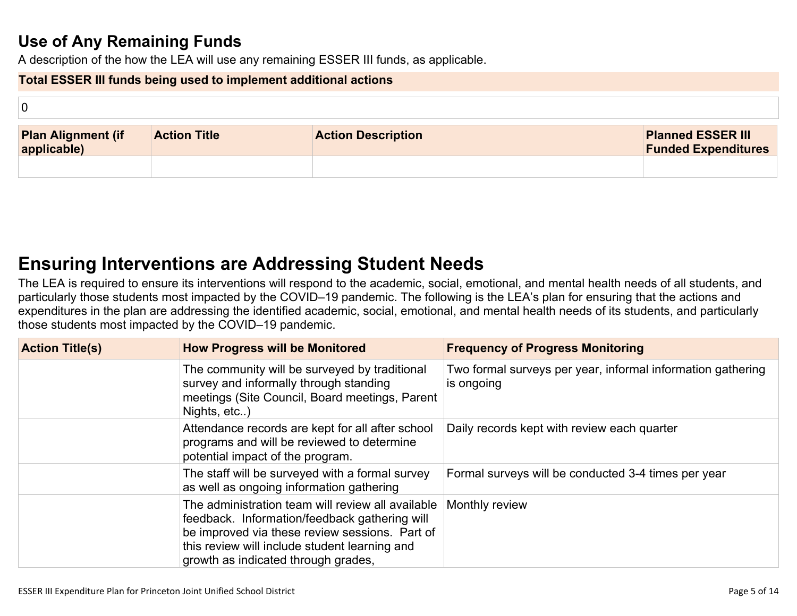# **Use of Any [Remaining](#page-12-1) Fund[s](#page-12-1)**

A description of the how the LEA will use any remaining ESSER III funds, as applicable.

#### **Total ESSER III funds being used to implement additional actions**

| 0                                        |                     |                           |                                                        |
|------------------------------------------|---------------------|---------------------------|--------------------------------------------------------|
| <b>Plan Alignment (if</b><br>applicable) | <b>Action Title</b> | <b>Action Description</b> | <b>Planned ESSER III</b><br><b>Funded Expenditures</b> |
|                                          |                     |                           |                                                        |

# **Ensuring [Interventions](#page-12-2) are Addressing Student Need[s](#page-12-2)**

The LEA is required to ensure its interventions will respond to the academic, social, emotional, and mental health needs of all students, and particularly those students most impacted by the COVID–19 pandemic. The following is the LEA's plan for ensuring that the actions and expenditures in the plan are addressing the identified academic, social, emotional, and mental health needs of its students, and particularly those students most impacted by the COVID–19 pandemic.

| <b>Action Title(s)</b> | <b>How Progress will be Monitored</b>                                                                                                                                                                                                        | <b>Frequency of Progress Monitoring</b>                                   |
|------------------------|----------------------------------------------------------------------------------------------------------------------------------------------------------------------------------------------------------------------------------------------|---------------------------------------------------------------------------|
|                        | The community will be surveyed by traditional<br>survey and informally through standing<br>meetings (Site Council, Board meetings, Parent<br>Nights, etc)                                                                                    | Two formal surveys per year, informal information gathering<br>is ongoing |
|                        | Attendance records are kept for all after school<br>programs and will be reviewed to determine<br>potential impact of the program.                                                                                                           | Daily records kept with review each quarter                               |
|                        | The staff will be surveyed with a formal survey<br>as well as ongoing information gathering                                                                                                                                                  | Formal surveys will be conducted 3-4 times per year                       |
|                        | The administration team will review all available<br>feedback. Information/feedback gathering will<br>be improved via these review sessions. Part of<br>this review will include student learning and<br>growth as indicated through grades, | Monthly review                                                            |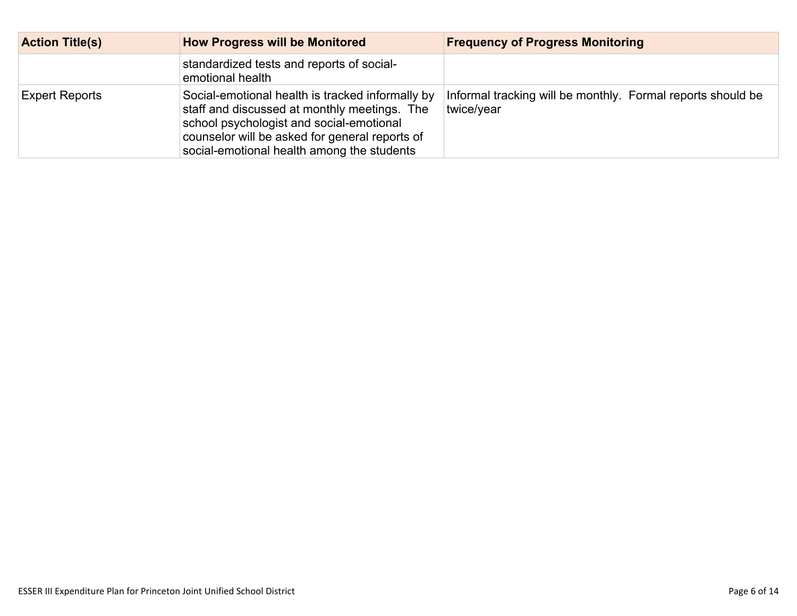| <b>Action Title(s)</b> | <b>How Progress will be Monitored</b>                                                                                                                                                                                                        | <b>Frequency of Progress Monitoring</b>                                   |
|------------------------|----------------------------------------------------------------------------------------------------------------------------------------------------------------------------------------------------------------------------------------------|---------------------------------------------------------------------------|
|                        | standardized tests and reports of social-<br>emotional health                                                                                                                                                                                |                                                                           |
| <b>Expert Reports</b>  | Social-emotional health is tracked informally by<br>staff and discussed at monthly meetings. The<br>school psychologist and social-emotional<br>counselor will be asked for general reports of<br>social-emotional health among the students | Informal tracking will be monthly. Formal reports should be<br>twice/year |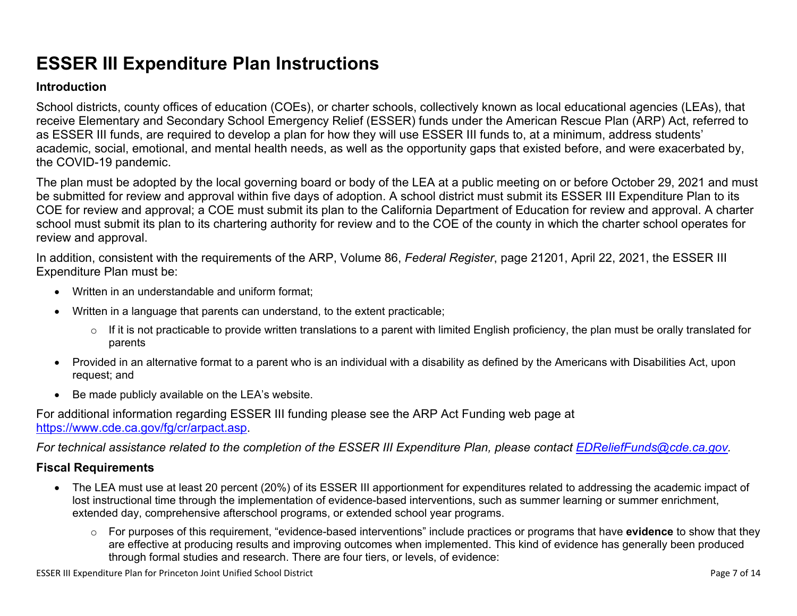# **ESSER III Expenditure Plan Instructions**

#### **Introduction**

School districts, county offices of education (COEs), or charter schools, collectively known as local educational agencies (LEAs), that receive Elementary and Secondary School Emergency Relief (ESSER) funds under the American Rescue Plan (ARP) Act, referred to as ESSER III funds, are required to develop a plan for how they will use ESSER III funds to, at a minimum, address students' academic, social, emotional, and mental health needs, as well as the opportunity gaps that existed before, and were exacerbated by, the COVID-19 pandemic.

The plan must be adopted by the local governing board or body of the LEA at a public meeting on or before October 29, 2021 and must be submitted for review and approval within five days of adoption. A school district must submit its ESSER III Expenditure Plan to its COE for review and approval; a COE must submit its plan to the California Department of Education for review and approval. A charter school must submit its plan to its chartering authority for review and to the COE of the county in which the charter school operates for review and approval.

In addition, consistent with the requirements of the ARP, Volume 86, *Federal Register*, page 21201, April 22, 2021, the ESSER III Expenditure Plan must be:

- Written in an understandable and uniform format;
- Written in a language that parents can understand, to the extent practicable;
	- $\circ$  If it is not practicable to provide written translations to a parent with limited English proficiency, the plan must be orally translated for parents
- Provided in an alternative format to a parent who is an individual with a disability as defined by the Americans with Disabilities Act, upon request; and
- Be made publicly available on the LEA's website.

For additional information regarding ESSER III funding please see the ARP Act Funding web page at <https://www.cde.ca.gov/fg/cr/arpact.asp>.

For technical assistance related to the completion of the ESSER III Expenditure Plan, please contact [EDReliefFunds@cde.ca.gov](mailto:EDReliefFunds@cde.ca.gov).

### **Fiscal Requirements**

- The LEA must use at least 20 percent (20%) of its ESSER III apportionment for expenditures related to addressing the academic impact of lost instructional time through the implementation of evidence-based interventions, such as summer learning or summer enrichment, extended day, comprehensive afterschool programs, or extended school year programs.
	- o For purposes of this requirement, "evidence-based interventions" include practices or programs that have **evidence** to show that they are effective at producing results and improving outcomes when implemented. This kind of evidence has generally been produced through formal studies and research. There are four tiers, or levels, of evidence: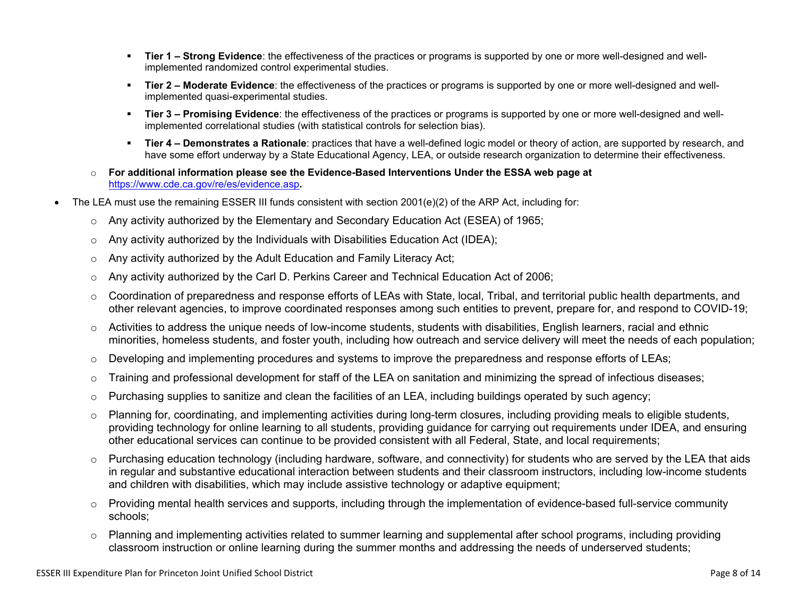- **Tier 1 – Strong Evidence**: the effectiveness of the practices or programs is supported by one or more well-designed and wellimplemented randomized control experimental studies.
- **Tier 2 – Moderate Evidence**: the effectiveness of the practices or programs is supported by one or more well-designed and wellimplemented quasi-experimental studies.
- **Tier 3 – Promising Evidence**: the effectiveness of the practices or programs is supported by one or more well-designed and wellimplemented correlational studies (with statistical controls for selection bias).
- **Tier 4 – Demonstrates a Rationale**: practices that have a well-defined logic model or theory of action, are supported by research, and have some effort underway by a State Educational Agency, LEA, or outside research organization to determine their effectiveness.
- o **For additional information please see the Evidence-Based Interventions Under the ESSA web page at** <https://www.cde.ca.gov/re/es/evidence.asp>**.**
- The LEA must use the remaining ESSER III funds consistent with section 2001(e)(2) of the ARP Act, including for:
	- $\circ$  Any activity authorized by the Elementary and Secondary Education Act (ESEA) of 1965;
	- $\circ$  Any activity authorized by the Individuals with Disabilities Education Act (IDEA);
	- o Any activity authorized by the Adult Education and Family Literacy Act;
	- $\circ$  Any activity authorized by the Carl D. Perkins Career and Technical Education Act of 2006;
	- $\circ$  Coordination of preparedness and response efforts of LEAs with State, local, Tribal, and territorial public health departments, and other relevant agencies, to improve coordinated responses among such entities to prevent, prepare for, and respond to COVID-19;
	- $\circ$  Activities to address the unique needs of low-income students, students with disabilities, English learners, racial and ethnic minorities, homeless students, and foster youth, including how outreach and service delivery will meet the needs of each population;
	- o Developing and implementing procedures and systems to improve the preparedness and response efforts of LEAs;
	- $\circ$  Training and professional development for staff of the LEA on sanitation and minimizing the spread of infectious diseases;
	- $\circ$  Purchasing supplies to sanitize and clean the facilities of an LEA, including buildings operated by such agency;
	- $\circ$  Planning for, coordinating, and implementing activities during long-term closures, including providing meals to eligible students, providing technology for online learning to all students, providing guidance for carrying out requirements under IDEA, and ensuring other educational services can continue to be provided consistent with all Federal, State, and local requirements;
	- $\circ$  Purchasing education technology (including hardware, software, and connectivity) for students who are served by the LEA that aids in regular and substantive educational interaction between students and their classroom instructors, including low-income students and children with disabilities, which may include assistive technology or adaptive equipment;
	- $\circ$  Providing mental health services and supports, including through the implementation of evidence-based full-service community schools;
	- o Planning and implementing activities related to summer learning and supplemental after school programs, including providing classroom instruction or online learning during the summer months and addressing the needs of underserved students;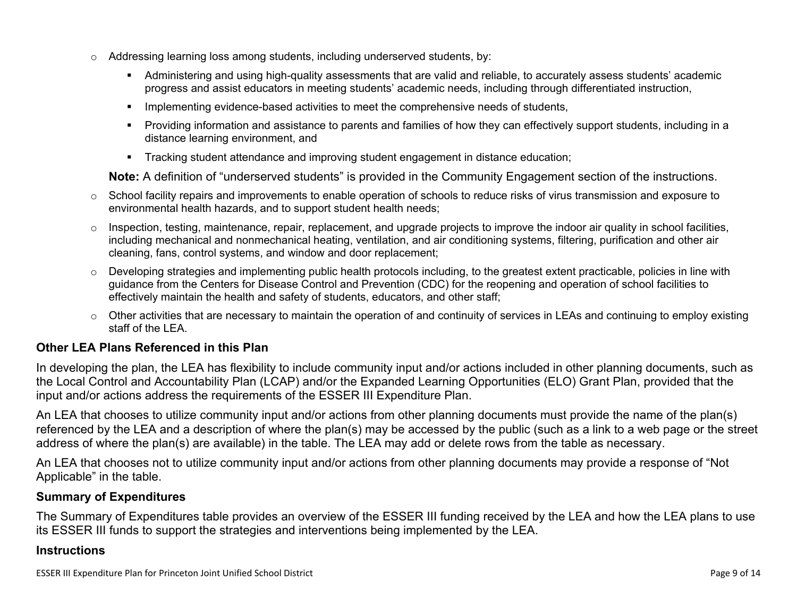- $\circ$  Addressing learning loss among students, including underserved students, by:
	- Administering and using high-quality assessments that are valid and reliable, to accurately assess students' academic progress and assist educators in meeting students' academic needs, including through differentiated instruction,
	- **IMPLEMENTER IMPLEMENT EVALUATE:** Implementing evidence-based activities to meet the comprehensive needs of students,
	- Providing information and assistance to parents and families of how they can effectively support students, including in a distance learning environment, and
	- Tracking student attendance and improving student engagement in distance education;

**Note:** A definition of "underserved students" is provided in the Community Engagement section of the instructions.

- $\circ$  School facility repairs and improvements to enable operation of schools to reduce risks of virus transmission and exposure to environmental health hazards, and to support student health needs;
- $\circ$  Inspection, testing, maintenance, repair, replacement, and upgrade projects to improve the indoor air quality in school facilities, including mechanical and nonmechanical heating, ventilation, and air conditioning systems, filtering, purification and other air cleaning, fans, control systems, and window and door replacement;
- $\circ$  Developing strategies and implementing public health protocols including, to the greatest extent practicable, policies in line with guidance from the Centers for Disease Control and Prevention (CDC) for the reopening and operation of school facilities to effectively maintain the health and safety of students, educators, and other staff;
- $\circ$  Other activities that are necessary to maintain the operation of and continuity of services in LEAs and continuing to employ existing staff of the LEA.

### <span id="page-8-0"></span>**Other LEA Plans Referenced in this Plan**

In developing the plan, the LEA has flexibility to include community input and/or actions included in other planning documents, such as the Local Control and Accountability Plan (LCAP) and/or the Expanded Learning Opportunities (ELO) Grant Plan, provided that the input and/or actions address the requirements of the ESSER III Expenditure Plan.

An LEA that chooses to utilize community input and/or actions from other planning documents must provide the name of the plan(s) referenced by the LEA and a description of where the plan(s) may be accessed by the public (such as a link to a web page or the street address of where the plan(s) are available) in the table. The LEA may add or delete rows from the table as necessary.

An LEA that chooses not to utilize community input and/or actions from other planning documents may provide a response of "Not Applicable" in the table.

#### <span id="page-8-1"></span>**Summary of Expenditures**

The Summary of Expenditures table provides an overview of the ESSER III funding received by the LEA and how the LEA plans to use its ESSER III funds to support the strategies and interventions being implemented by the LEA.

#### **Instructions**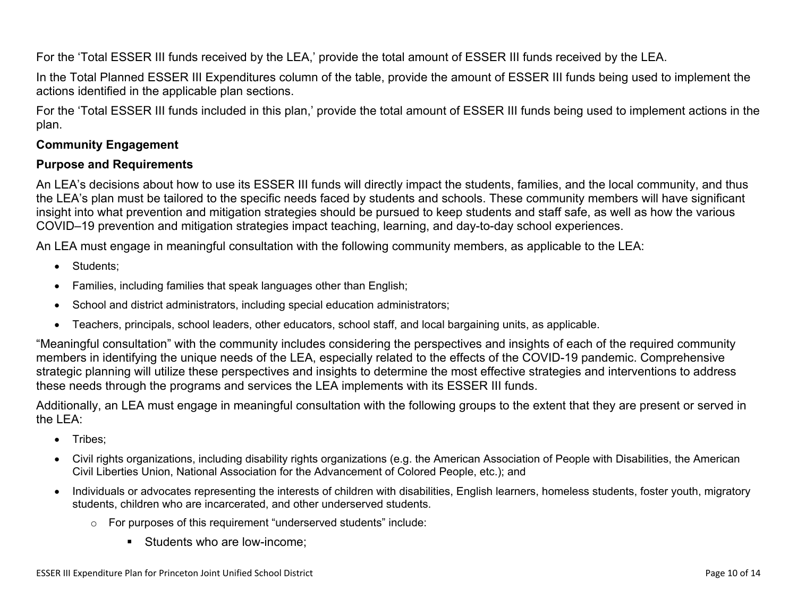For the 'Total ESSER III funds received by the LEA,' provide the total amount of ESSER III funds received by the LEA.

In the Total Planned ESSER III Expenditures column of the table, provide the amount of ESSER III funds being used to implement the actions identified in the applicable plan sections.

For the 'Total ESSER III funds included in this plan,' provide the total amount of ESSER III funds being used to implement actions in the plan.

### <span id="page-9-0"></span>**Community Engagement**

#### **Purpose and Requirements**

An LEA's decisions about how to use its ESSER III funds will directly impact the students, families, and the local community, and thus the LEA's plan must be tailored to the specific needs faced by students and schools. These community members will have significant insight into what prevention and mitigation strategies should be pursued to keep students and staff safe, as well as how the various COVID–19 prevention and mitigation strategies impact teaching, learning, and day-to-day school experiences.

An LEA must engage in meaningful consultation with the following community members, as applicable to the LEA:

- Students:
- Families, including families that speak languages other than English;
- School and district administrators, including special education administrators;
- Teachers, principals, school leaders, other educators, school staff, and local bargaining units, as applicable.

"Meaningful consultation" with the community includes considering the perspectives and insights of each of the required community members in identifying the unique needs of the LEA, especially related to the effects of the COVID-19 pandemic. Comprehensive strategic planning will utilize these perspectives and insights to determine the most effective strategies and interventions to address these needs through the programs and services the LEA implements with its ESSER III funds.

Additionally, an LEA must engage in meaningful consultation with the following groups to the extent that they are present or served in the LEA:

- Tribes;
- Civil rights organizations, including disability rights organizations (e.g. the American Association of People with Disabilities, the American Civil Liberties Union, National Association for the Advancement of Colored People, etc.); and
- Individuals or advocates representing the interests of children with disabilities, English learners, homeless students, foster youth, migratory students, children who are incarcerated, and other underserved students.
	- o For purposes of this requirement "underserved students" include:
		- **Students who are low-income:**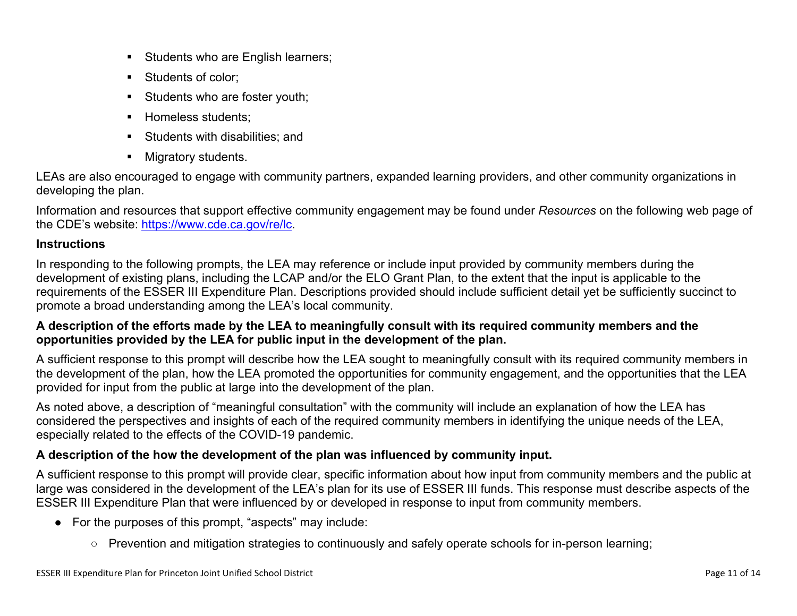- Students who are English learners;
- Students of color:
- Students who are foster youth;
- Homeless students;
- **Students with disabilities: and**
- **Migratory students.**

LEAs are also encouraged to engage with community partners, expanded learning providers, and other community organizations in developing the plan.

Information and resources that support effective community engagement may be found under *Resources* on the following web page of the CDE's website: <https://www.cde.ca.gov/re/lc>.

### **Instructions**

In responding to the following prompts, the LEA may reference or include input provided by community members during the development of existing plans, including the LCAP and/or the ELO Grant Plan, to the extent that the input is applicable to the requirements of the ESSER III Expenditure Plan. Descriptions provided should include sufficient detail yet be sufficiently succinct to promote a broad understanding among the LEA's local community.

### A description of the efforts made by the LEA to meaningfully consult with its required community members and the **opportunities provided by the LEA for public input in the development of the plan.**

A sufficient response to this prompt will describe how the LEA sought to meaningfully consult with its required community members in the development of the plan, how the LEA promoted the opportunities for community engagement, and the opportunities that the LEA provided for input from the public at large into the development of the plan.

As noted above, a description of "meaningful consultation" with the community will include an explanation of how the LEA has considered the perspectives and insights of each of the required community members in identifying the unique needs of the LEA, especially related to the effects of the COVID-19 pandemic.

### **A description of the how the development of the plan was influenced by community input.**

A sufficient response to this prompt will provide clear, specific information about how input from community members and the public at large was considered in the development of the LEA's plan for its use of ESSER III funds. This response must describe aspects of the ESSER III Expenditure Plan that were influenced by or developed in response to input from community members.

- For the purposes of this prompt, "aspects" may include:
	- Prevention and mitigation strategies to continuously and safely operate schools for in-person learning;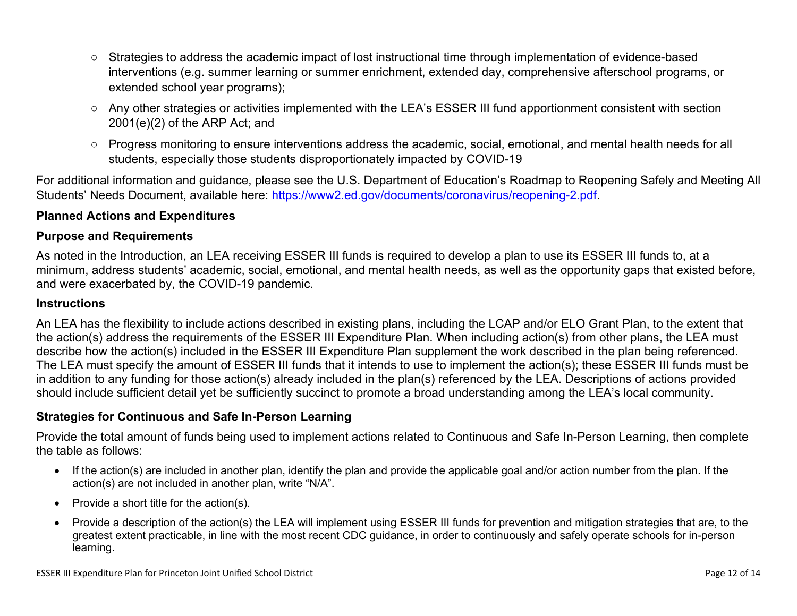- Strategies to address the academic impact of lost instructional time through implementation of evidence-based interventions (e.g. summer learning or summer enrichment, extended day, comprehensive afterschool programs, or extended school year programs);
- Any other strategies or activities implemented with the LEA's ESSER III fund apportionment consistent with section 2001(e)(2) of the ARP Act; and
- Progress monitoring to ensure interventions address the academic, social, emotional, and mental health needs for all students, especially those students disproportionately impacted by COVID-19

For additional information and guidance, please see the U.S. Department of Education's Roadmap to Reopening Safely and Meeting All Students' Needs Document, available here: [https://www2.ed.gov/documents/coronavirus/reopening-2.pdf.](https://www2.ed.gov/documents/coronavirus/reopening-2.pdf)

### <span id="page-11-0"></span>**Planned Actions and Expenditures**

#### **Purpose and Requirements**

As noted in the Introduction, an LEA receiving ESSER III funds is required to develop a plan to use its ESSER III funds to, at a minimum, address students' academic, social, emotional, and mental health needs, as well as the opportunity gaps that existed before, and were exacerbated by, the COVID-19 pandemic.

#### **Instructions**

An LEA has the flexibility to include actions described in existing plans, including the LCAP and/or ELO Grant Plan, to the extent that the action(s) address the requirements of the ESSER III Expenditure Plan. When including action(s) from other plans, the LEA must describe how the action(s) included in the ESSER III Expenditure Plan supplement the work described in the plan being referenced. The LEA must specify the amount of ESSER III funds that it intends to use to implement the action(s); these ESSER III funds must be in addition to any funding for those action(s) already included in the plan(s) referenced by the LEA. Descriptions of actions provided should include sufficient detail yet be sufficiently succinct to promote a broad understanding among the LEA's local community.

#### <span id="page-11-1"></span>**Strategies for Continuous and Safe In-Person Learning**

Provide the total amount of funds being used to implement actions related to Continuous and Safe In-Person Learning, then complete the table as follows:

- If the action(s) are included in another plan, identify the plan and provide the applicable goal and/or action number from the plan. If the action(s) are not included in another plan, write "N/A".
- Provide a short title for the  $action(s)$ .
- Provide a description of the action(s) the LEA will implement using ESSER III funds for prevention and mitigation strategies that are, to the greatest extent practicable, in line with the most recent CDC guidance, in order to continuously and safely operate schools for in-person learning.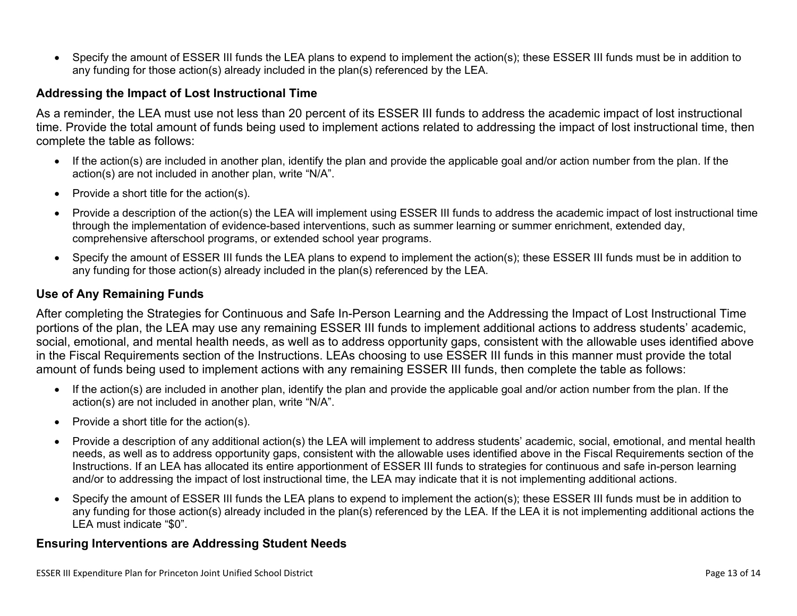Specify the amount of ESSER III funds the LEA plans to expend to implement the action(s); these ESSER III funds must be in addition to any funding for those action(s) already included in the plan(s) referenced by the LEA.

#### <span id="page-12-0"></span>**Addressing the Impact of Lost Instructional Time**

As a reminder, the LEA must use not less than 20 percent of its ESSER III funds to address the academic impact of lost instructional time. Provide the total amount of funds being used to implement actions related to addressing the impact of lost instructional time, then complete the table as follows:

- If the action(s) are included in another plan, identify the plan and provide the applicable goal and/or action number from the plan. If the action(s) are not included in another plan, write "N/A".
- Provide a short title for the  $action(s)$ .
- Provide a description of the action(s) the LEA will implement using ESSER III funds to address the academic impact of lost instructional time through the implementation of evidence-based interventions, such as summer learning or summer enrichment, extended day, comprehensive afterschool programs, or extended school year programs.
- Specify the amount of ESSER III funds the LEA plans to expend to implement the action(s); these ESSER III funds must be in addition to any funding for those action(s) already included in the plan(s) referenced by the LEA.

#### <span id="page-12-1"></span>**Use of Any Remaining Funds**

After completing the Strategies for Continuous and Safe In-Person Learning and the Addressing the Impact of Lost Instructional Time portions of the plan, the LEA may use any remaining ESSER III funds to implement additional actions to address students' academic, social, emotional, and mental health needs, as well as to address opportunity gaps, consistent with the allowable uses identified above in the Fiscal Requirements section of the Instructions. LEAs choosing to use ESSER III funds in this manner must provide the total amount of funds being used to implement actions with any remaining ESSER III funds, then complete the table as follows:

- If the action(s) are included in another plan, identify the plan and provide the applicable goal and/or action number from the plan. If the action(s) are not included in another plan, write "N/A".
- Provide a short title for the  $action(s)$ .
- Provide a description of any additional action(s) the LEA will implement to address students' academic, social, emotional, and mental health needs, as well as to address opportunity gaps, consistent with the allowable uses identified above in the Fiscal Requirements section of the Instructions. If an LEA has allocated its entire apportionment of ESSER III funds to strategies for continuous and safe in-person learning and/or to addressing the impact of lost instructional time, the LEA may indicate that it is not implementing additional actions.
- Specify the amount of ESSER III funds the LEA plans to expend to implement the action(s); these ESSER III funds must be in addition to any funding for those action(s) already included in the plan(s) referenced by the LEA. If the LEA it is not implementing additional actions the LEA must indicate "\$0".

#### <span id="page-12-2"></span>**Ensuring Interventions are Addressing Student Needs**